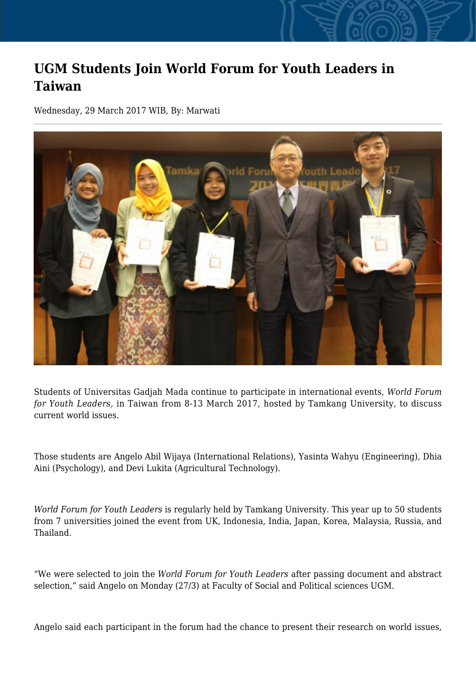## **UGM Students Join World Forum for Youth Leaders in Taiwan**

Wednesday, 29 March 2017 WIB, By: Marwati



Students of Universitas Gadjah Mada continue to participate in international events, *World Forum for Youth Leaders,* in Taiwan from 8-13 March 2017, hosted by Tamkang University, to discuss current world issues.

Those students are Angelo Abil Wijaya (International Relations), Yasinta Wahyu (Engineering), Dhia Aini (Psychology), and Devi Lukita (Agricultural Technology).

*World Forum for Youth Leaders* is regularly held by Tamkang University. This year up to 50 students from 7 universities joined the event from UK, Indonesia, India, Japan, Korea, Malaysia, Russia, and Thailand.

"We were selected to join the *World Forum for Youth Leaders* after passing document and abstract selection," said Angelo on Monday (27/3) at Faculty of Social and Political sciences UGM.

Angelo said each participant in the forum had the chance to present their research on world issues,